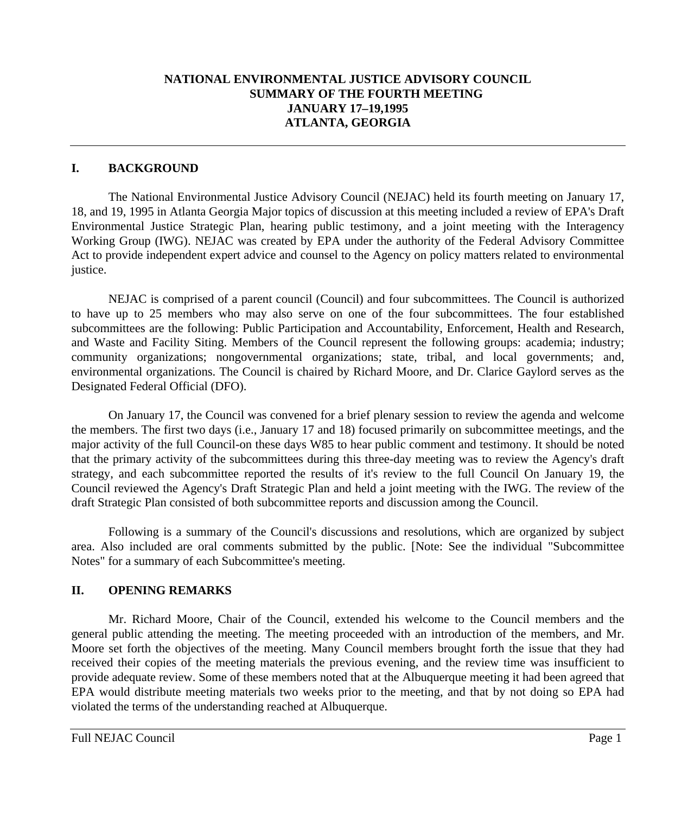# **NATIONAL ENVIRONMENTAL JUSTICE ADVISORY COUNCIL SUMMARY OF THE FOURTH MEETING JANUARY 17–19,1995 ATLANTA, GEORGIA**

#### **I. BACKGROUND**

The National Environmental Justice Advisory Council (NEJAC) held its fourth meeting on January 17, 18, and 19, 1995 in Atlanta Georgia Major topics of discussion at this meeting included a review of EPA's Draft Environmental Justice Strategic Plan, hearing public testimony, and a joint meeting with the Interagency Working Group (IWG). NEJAC was created by EPA under the authority of the Federal Advisory Committee Act to provide independent expert advice and counsel to the Agency on policy matters related to environmental justice.

NEJAC is comprised of a parent council (Council) and four subcommittees. The Council is authorized to have up to 25 members who may also serve on one of the four subcommittees. The four established subcommittees are the following: Public Participation and Accountability, Enforcement, Health and Research, and Waste and Facility Siting. Members of the Council represent the following groups: academia; industry; community organizations; nongovernmental organizations; state, tribal, and local governments; and, environmental organizations. The Council is chaired by Richard Moore, and Dr. Clarice Gaylord serves as the Designated Federal Official (DFO).

On January 17, the Council was convened for a brief plenary session to review the agenda and welcome the members. The first two days (i.e., January 17 and 18) focused primarily on subcommittee meetings, and the major activity of the full Council-on these days W85 to hear public comment and testimony. It should be noted that the primary activity of the subcommittees during this three-day meeting was to review the Agency's draft strategy, and each subcommittee reported the results of it's review to the full Council On January 19, the Council reviewed the Agency's Draft Strategic Plan and held a joint meeting with the IWG. The review of the draft Strategic Plan consisted of both subcommittee reports and discussion among the Council.

Following is a summary of the Council's discussions and resolutions, which are organized by subject area. Also included are oral comments submitted by the public. [Note: See the individual "Subcommittee Notes" for a summary of each Subcommittee's meeting.

## **II. OPENING REMARKS**

Mr. Richard Moore, Chair of the Council, extended his welcome to the Council members and the general public attending the meeting. The meeting proceeded with an introduction of the members, and Mr. Moore set forth the objectives of the meeting. Many Council members brought forth the issue that they had received their copies of the meeting materials the previous evening, and the review time was insufficient to provide adequate review. Some of these members noted that at the Albuquerque meeting it had been agreed that EPA would distribute meeting materials two weeks prior to the meeting, and that by not doing so EPA had violated the terms of the understanding reached at Albuquerque.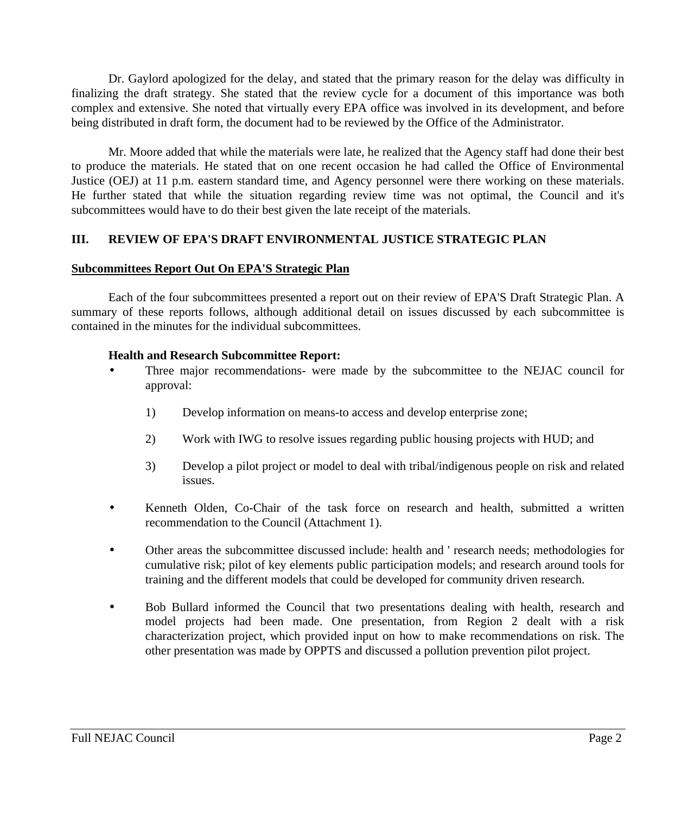Dr. Gaylord apologized for the delay, and stated that the primary reason for the delay was difficulty in finalizing the draft strategy. She stated that the review cycle for a document of this importance was both complex and extensive. She noted that virtually every EPA office was involved in its development, and before being distributed in draft form, the document had to be reviewed by the Office of the Administrator.

Mr. Moore added that while the materials were late, he realized that the Agency staff had done their best to produce the materials. He stated that on one recent occasion he had called the Office of Environmental Justice (OEJ) at 11 p.m. eastern standard time, and Agency personnel were there working on these materials. He further stated that while the situation regarding review time was not optimal, the Council and it's subcommittees would have to do their best given the late receipt of the materials.

# **III. REVIEW OF EPA'S DRAFT ENVIRONMENTAL JUSTICE STRATEGIC PLAN**

#### **Subcommittees Report Out On EPA'S Strategic Plan**

Each of the four subcommittees presented a report out on their review of EPA'S Draft Strategic Plan. A summary of these reports follows, although additional detail on issues discussed by each subcommittee is contained in the minutes for the individual subcommittees.

#### **Health and Research Subcommittee Report:**

- Three major recommendations- were made by the subcommittee to the NEJAC council for approval:
	- 1) Develop information on means-to access and develop enterprise zone;
	- 2) Work with IWG to resolve issues regarding public housing projects with HUD; and
	- 3) Develop a pilot project or model to deal with tribal/indigenous people on risk and related issues.
- Kenneth Olden, Co-Chair of the task force on research and health, submitted a written recommendation to the Council (Attachment 1).
- Other areas the subcommittee discussed include: health and ' research needs; methodologies for cumulative risk; pilot of key elements public participation models; and research around tools for training and the different models that could be developed for community driven research.
- Bob Bullard informed the Council that two presentations dealing with health, research and model projects had been made. One presentation, from Region 2 dealt with a risk characterization project, which provided input on how to make recommendations on risk. The other presentation was made by OPPTS and discussed a pollution prevention pilot project.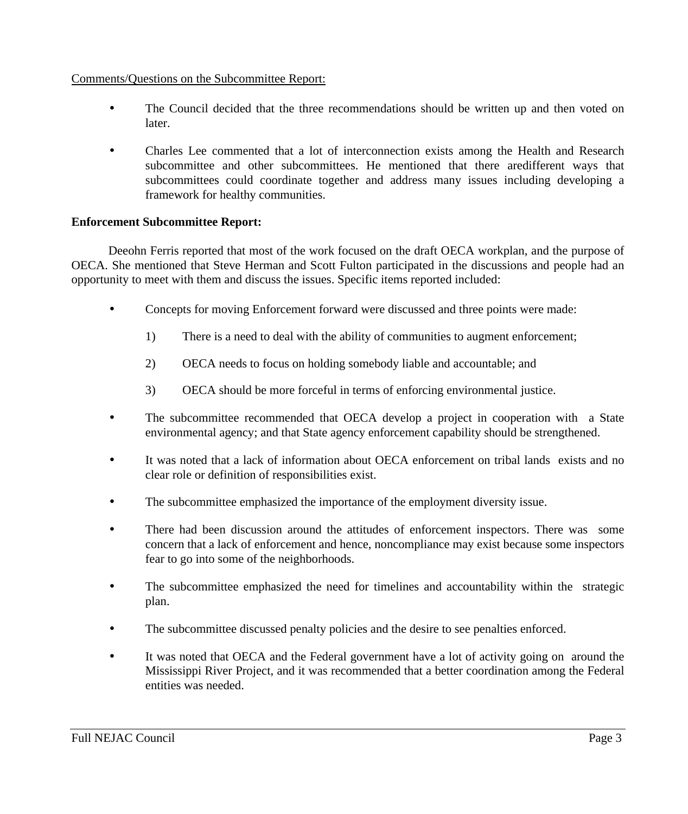#### Comments/Questions on the Subcommittee Report:

- The Council decided that the three recommendations should be written up and then voted on later.
- Charles Lee commented that a lot of interconnection exists among the Health and Research subcommittee and other subcommittees. He mentioned that there aredifferent ways that subcommittees could coordinate together and address many issues including developing a framework for healthy communities.

#### **Enforcement Subcommittee Report:**

Deeohn Ferris reported that most of the work focused on the draft OECA workplan, and the purpose of OECA. She mentioned that Steve Herman and Scott Fulton participated in the discussions and people had an opportunity to meet with them and discuss the issues. Specific items reported included:

- Concepts for moving Enforcement forward were discussed and three points were made:
	- 1) There is a need to deal with the ability of communities to augment enforcement;
	- 2) OECA needs to focus on holding somebody liable and accountable; and
	- 3) OECA should be more forceful in terms of enforcing environmental justice.
- The subcommittee recommended that OECA develop a project in cooperation with a State environmental agency; and that State agency enforcement capability should be strengthened.
- It was noted that a lack of information about OECA enforcement on tribal lands exists and no clear role or definition of responsibilities exist.
- The subcommittee emphasized the importance of the employment diversity issue.
- There had been discussion around the attitudes of enforcement inspectors. There was some concern that a lack of enforcement and hence, noncompliance may exist because some inspectors fear to go into some of the neighborhoods.
- The subcommittee emphasized the need for timelines and accountability within the strategic plan.
- The subcommittee discussed penalty policies and the desire to see penalties enforced.
- It was noted that OECA and the Federal government have a lot of activity going on around the Mississippi River Project, and it was recommended that a better coordination among the Federal entities was needed.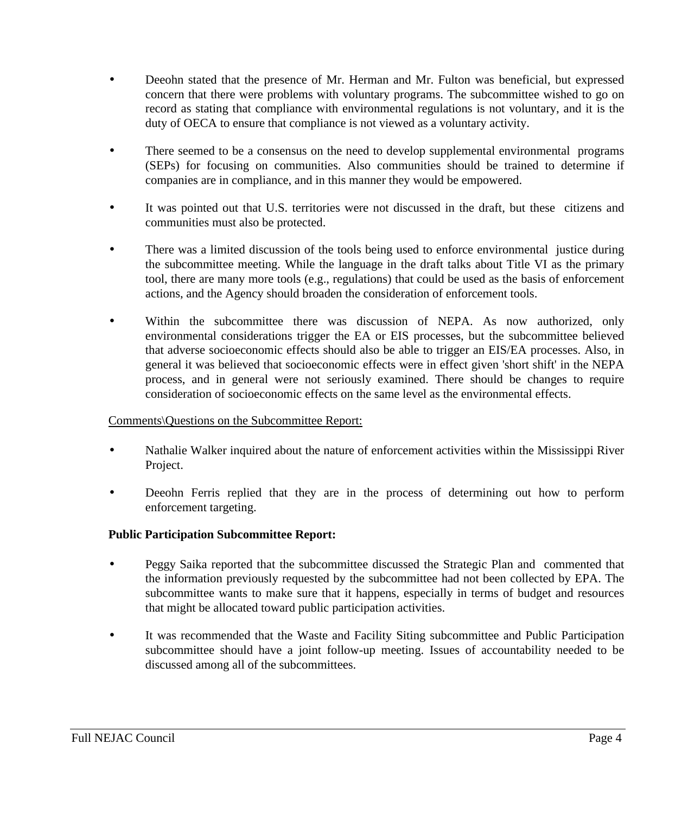- Deeohn stated that the presence of Mr. Herman and Mr. Fulton was beneficial, but expressed concern that there were problems with voluntary programs. The subcommittee wished to go on record as stating that compliance with environmental regulations is not voluntary, and it is the duty of OECA to ensure that compliance is not viewed as a voluntary activity.
- There seemed to be a consensus on the need to develop supplemental environmental programs (SEPs) for focusing on communities. Also communities should be trained to determine if companies are in compliance, and in this manner they would be empowered.
- It was pointed out that U.S. territories were not discussed in the draft, but these citizens and communities must also be protected.
- There was a limited discussion of the tools being used to enforce environmental justice during the subcommittee meeting. While the language in the draft talks about Title VI as the primary tool, there are many more tools (e.g., regulations) that could be used as the basis of enforcement actions, and the Agency should broaden the consideration of enforcement tools.
- Within the subcommittee there was discussion of NEPA. As now authorized, only environmental considerations trigger the EA or EIS processes, but the subcommittee believed that adverse socioeconomic effects should also be able to trigger an EIS/EA processes. Also, in general it was believed that socioeconomic effects were in effect given 'short shift' in the NEPA process, and in general were not seriously examined. There should be changes to require consideration of socioeconomic effects on the same level as the environmental effects.

## Comments\Questions on the Subcommittee Report:

- Nathalie Walker inquired about the nature of enforcement activities within the Mississippi River Project.
- Deeohn Ferris replied that they are in the process of determining out how to perform enforcement targeting.

## **Public Participation Subcommittee Report:**

- Peggy Saika reported that the subcommittee discussed the Strategic Plan and commented that the information previously requested by the subcommittee had not been collected by EPA. The subcommittee wants to make sure that it happens, especially in terms of budget and resources that might be allocated toward public participation activities.
- It was recommended that the Waste and Facility Siting subcommittee and Public Participation subcommittee should have a joint follow-up meeting. Issues of accountability needed to be discussed among all of the subcommittees.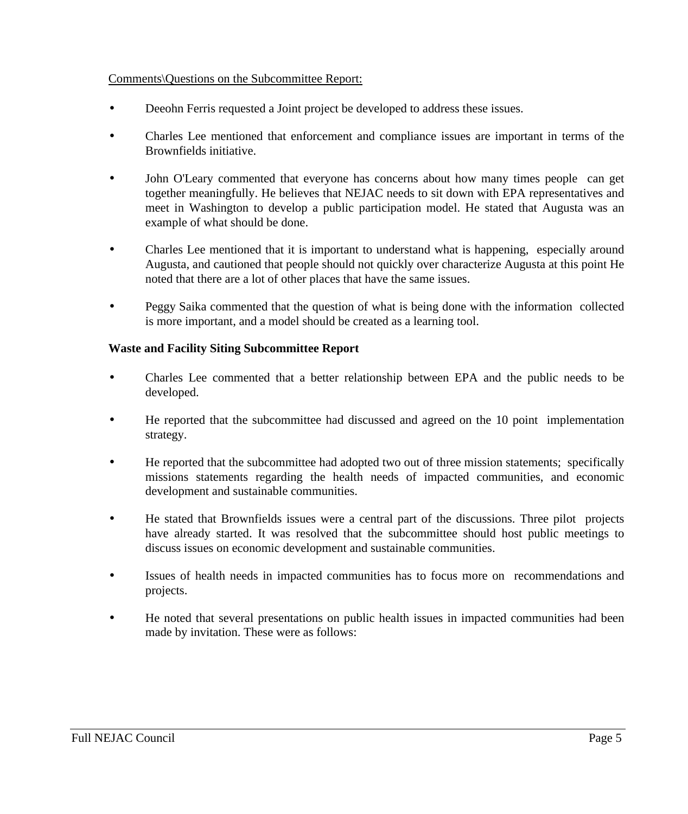#### Comments\Questions on the Subcommittee Report:

- Deeohn Ferris requested a Joint project be developed to address these issues.
- Charles Lee mentioned that enforcement and compliance issues are important in terms of the Brownfields initiative.
- John O'Leary commented that everyone has concerns about how many times people can get together meaningfully. He believes that NEJAC needs to sit down with EPA representatives and meet in Washington to develop a public participation model. He stated that Augusta was an example of what should be done.
- Charles Lee mentioned that it is important to understand what is happening, especially around Augusta, and cautioned that people should not quickly over characterize Augusta at this point He noted that there are a lot of other places that have the same issues.
- Peggy Saika commented that the question of what is being done with the information collected is more important, and a model should be created as a learning tool.

## **Waste and Facility Siting Subcommittee Report**

- Charles Lee commented that a better relationship between EPA and the public needs to be developed.
- He reported that the subcommittee had discussed and agreed on the 10 point implementation strategy.
- He reported that the subcommittee had adopted two out of three mission statements; specifically missions statements regarding the health needs of impacted communities, and economic development and sustainable communities.
- He stated that Brownfields issues were a central part of the discussions. Three pilot projects have already started. It was resolved that the subcommittee should host public meetings to discuss issues on economic development and sustainable communities.
- Issues of health needs in impacted communities has to focus more on recommendations and projects.
- He noted that several presentations on public health issues in impacted communities had been made by invitation. These were as follows: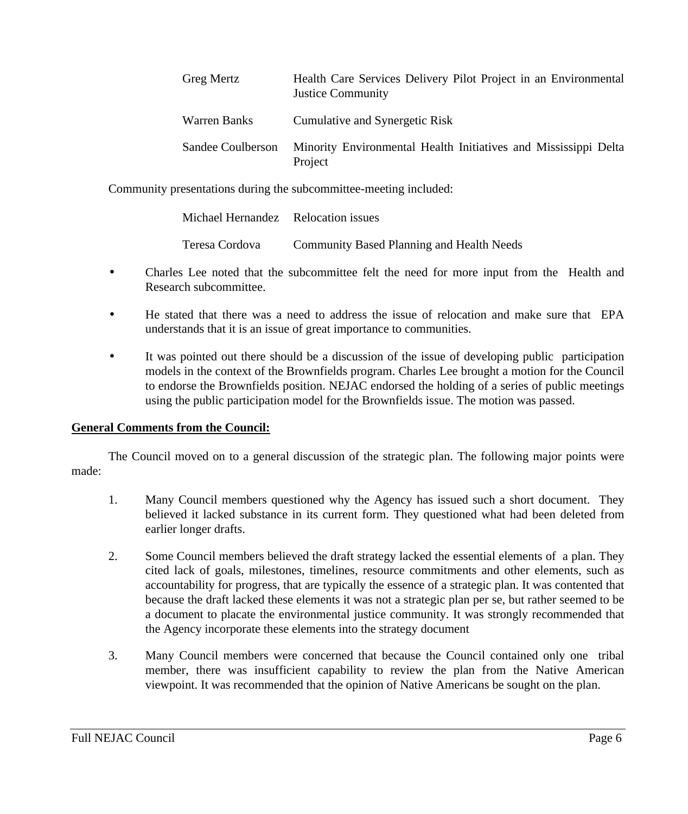| <b>Greg Mertz</b> | Health Care Services Delivery Pilot Project in an Environmental<br><b>Justice Community</b> |
|-------------------|---------------------------------------------------------------------------------------------|
| Warren Banks      | Cumulative and Synergetic Risk                                                              |
| Sandee Coulberson | Minority Environmental Health Initiatives and Mississippi Delta<br>Project                  |

Community presentations during the subcommittee-meeting included:

| Michael Hernandez Relocation issues |                                                  |
|-------------------------------------|--------------------------------------------------|
| Teresa Cordova                      | <b>Community Based Planning and Health Needs</b> |

- Charles Lee noted that the subcommittee felt the need for more input from the Health and Research subcommittee.
- He stated that there was a need to address the issue of relocation and make sure that EPA understands that it is an issue of great importance to communities.
- It was pointed out there should be a discussion of the issue of developing public participation models in the context of the Brownfields program. Charles Lee brought a motion for the Council to endorse the Brownfields position. NEJAC endorsed the holding of a series of public meetings using the public participation model for the Brownfields issue. The motion was passed.

## **General Comments from the Council:**

The Council moved on to a general discussion of the strategic plan. The following major points were made:

- 1. Many Council members questioned why the Agency has issued such a short document. They believed it lacked substance in its current form. They questioned what had been deleted from earlier longer drafts.
- 2. Some Council members believed the draft strategy lacked the essential elements of a plan. They cited lack of goals, milestones, timelines, resource commitments and other elements, such as accountability for progress, that are typically the essence of a strategic plan. It was contented that because the draft lacked these elements it was not a strategic plan per se, but rather seemed to be a document to placate the environmental justice community. It was strongly recommended that the Agency incorporate these elements into the strategy document
- 3. Many Council members were concerned that because the Council contained only one tribal member, there was insufficient capability to review the plan from the Native American viewpoint. It was recommended that the opinion of Native Americans be sought on the plan.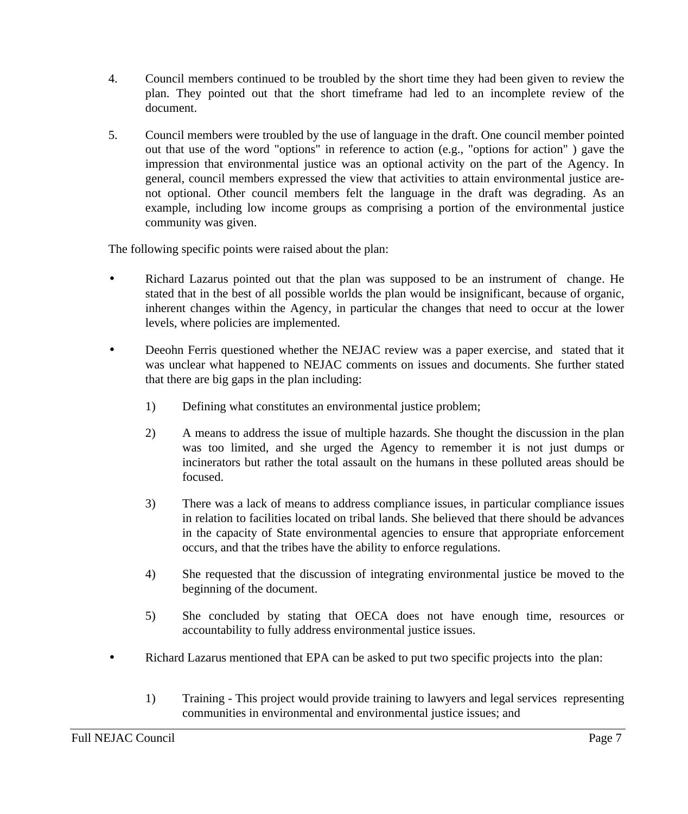- 4. Council members continued to be troubled by the short time they had been given to review the plan. They pointed out that the short timeframe had led to an incomplete review of the document.
- 5. Council members were troubled by the use of language in the draft. One council member pointed out that use of the word "options" in reference to action (e.g., "options for action" ) gave the impression that environmental justice was an optional activity on the part of the Agency. In general, council members expressed the view that activities to attain environmental justice arenot optional. Other council members felt the language in the draft was degrading. As an example, including low income groups as comprising a portion of the environmental justice community was given.

The following specific points were raised about the plan:

- Richard Lazarus pointed out that the plan was supposed to be an instrument of change. He stated that in the best of all possible worlds the plan would be insignificant, because of organic, inherent changes within the Agency, in particular the changes that need to occur at the lower levels, where policies are implemented.
- Deeohn Ferris questioned whether the NEJAC review was a paper exercise, and stated that it was unclear what happened to NEJAC comments on issues and documents. She further stated that there are big gaps in the plan including:
	- 1) Defining what constitutes an environmental justice problem;
	- 2) A means to address the issue of multiple hazards. She thought the discussion in the plan was too limited, and she urged the Agency to remember it is not just dumps or incinerators but rather the total assault on the humans in these polluted areas should be focused.
	- 3) There was a lack of means to address compliance issues, in particular compliance issues in relation to facilities located on tribal lands. She believed that there should be advances in the capacity of State environmental agencies to ensure that appropriate enforcement occurs, and that the tribes have the ability to enforce regulations.
	- 4) She requested that the discussion of integrating environmental justice be moved to the beginning of the document.
	- 5) She concluded by stating that OECA does not have enough time, resources or accountability to fully address environmental justice issues.
- Richard Lazarus mentioned that EPA can be asked to put two specific projects into the plan:
	- 1) Training This project would provide training to lawyers and legal services representing communities in environmental and environmental justice issues; and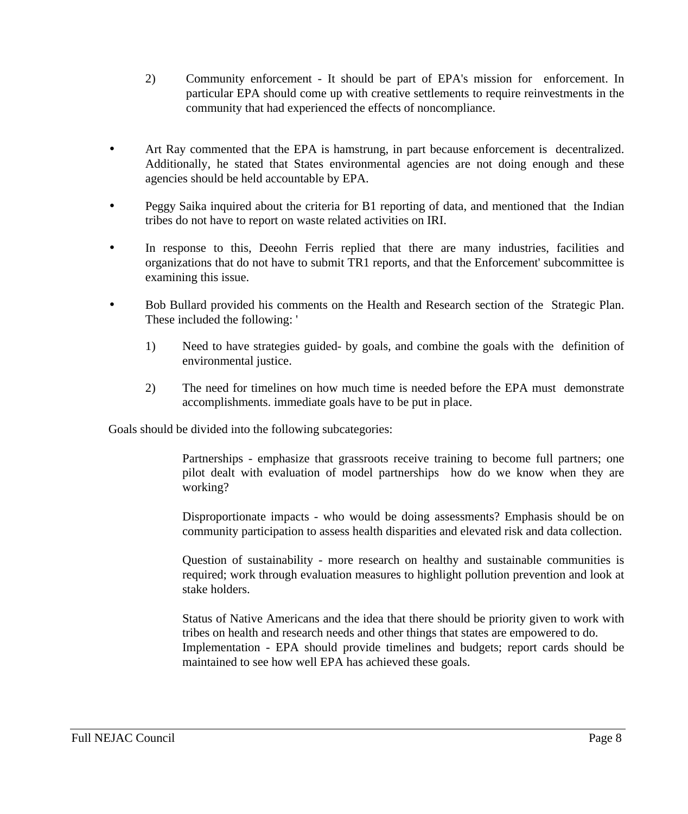- 2) Community enforcement It should be part of EPA's mission for enforcement. In particular EPA should come up with creative settlements to require reinvestments in the community that had experienced the effects of noncompliance.
- Art Ray commented that the EPA is hamstrung, in part because enforcement is decentralized. Additionally, he stated that States environmental agencies are not doing enough and these agencies should be held accountable by EPA.
- Peggy Saika inquired about the criteria for B1 reporting of data, and mentioned that the Indian tribes do not have to report on waste related activities on IRI.
- In response to this, Deeohn Ferris replied that there are many industries, facilities and organizations that do not have to submit TR1 reports, and that the Enforcement' subcommittee is examining this issue.
- Bob Bullard provided his comments on the Health and Research section of the Strategic Plan. These included the following: '
	- 1) Need to have strategies guided- by goals, and combine the goals with the definition of environmental justice.
	- 2) The need for timelines on how much time is needed before the EPA must demonstrate accomplishments. immediate goals have to be put in place.

Goals should be divided into the following subcategories:

Partnerships - emphasize that grassroots receive training to become full partners; one pilot dealt with evaluation of model partnerships how do we know when they are working?

Disproportionate impacts - who would be doing assessments? Emphasis should be on community participation to assess health disparities and elevated risk and data collection.

Question of sustainability - more research on healthy and sustainable communities is required; work through evaluation measures to highlight pollution prevention and look at stake holders.

Status of Native Americans and the idea that there should be priority given to work with tribes on health and research needs and other things that states are empowered to do. Implementation - EPA should provide timelines and budgets; report cards should be maintained to see how well EPA has achieved these goals.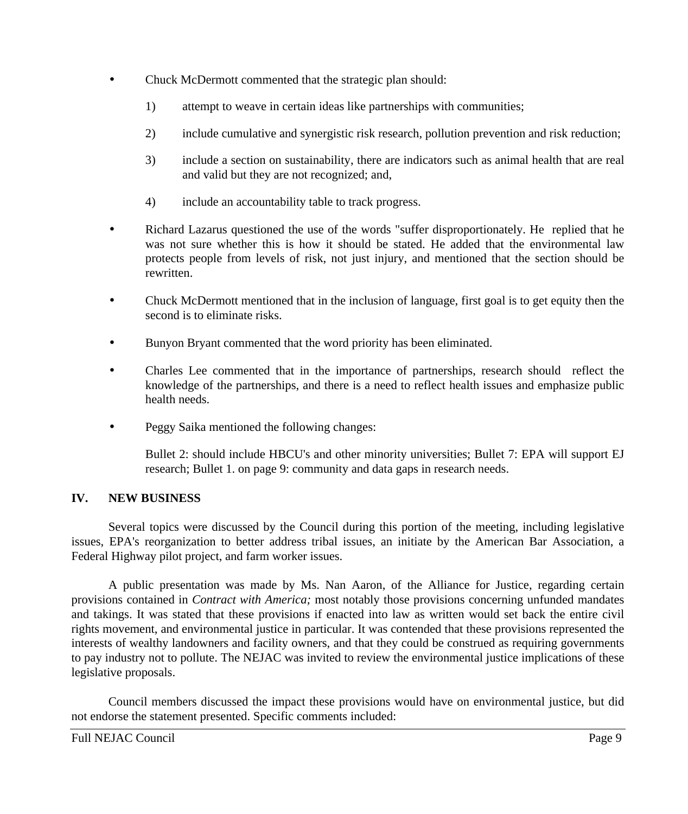- Chuck McDermott commented that the strategic plan should:
	- 1) attempt to weave in certain ideas like partnerships with communities;
	- 2) include cumulative and synergistic risk research, pollution prevention and risk reduction;
	- 3) include a section on sustainability, there are indicators such as animal health that are real and valid but they are not recognized; and,
	- 4) include an accountability table to track progress.
- Richard Lazarus questioned the use of the words "suffer disproportionately. He replied that he was not sure whether this is how it should be stated. He added that the environmental law protects people from levels of risk, not just injury, and mentioned that the section should be rewritten.
- Chuck McDermott mentioned that in the inclusion of language, first goal is to get equity then the second is to eliminate risks.
- Bunyon Bryant commented that the word priority has been eliminated.
- Charles Lee commented that in the importance of partnerships, research should reflect the knowledge of the partnerships, and there is a need to reflect health issues and emphasize public health needs.
- Peggy Saika mentioned the following changes:

Bullet 2: should include HBCU's and other minority universities; Bullet 7: EPA will support EJ research; Bullet 1. on page 9: community and data gaps in research needs.

## **IV. NEW BUSINESS**

Several topics were discussed by the Council during this portion of the meeting, including legislative issues, EPA's reorganization to better address tribal issues, an initiate by the American Bar Association, a Federal Highway pilot project, and farm worker issues.

A public presentation was made by Ms. Nan Aaron, of the Alliance for Justice, regarding certain provisions contained in *Contract with America;* most notably those provisions concerning unfunded mandates and takings. It was stated that these provisions if enacted into law as written would set back the entire civil rights movement, and environmental justice in particular. It was contended that these provisions represented the interests of wealthy landowners and facility owners, and that they could be construed as requiring governments to pay industry not to pollute. The NEJAC was invited to review the environmental justice implications of these legislative proposals.

Council members discussed the impact these provisions would have on environmental justice, but did not endorse the statement presented. Specific comments included: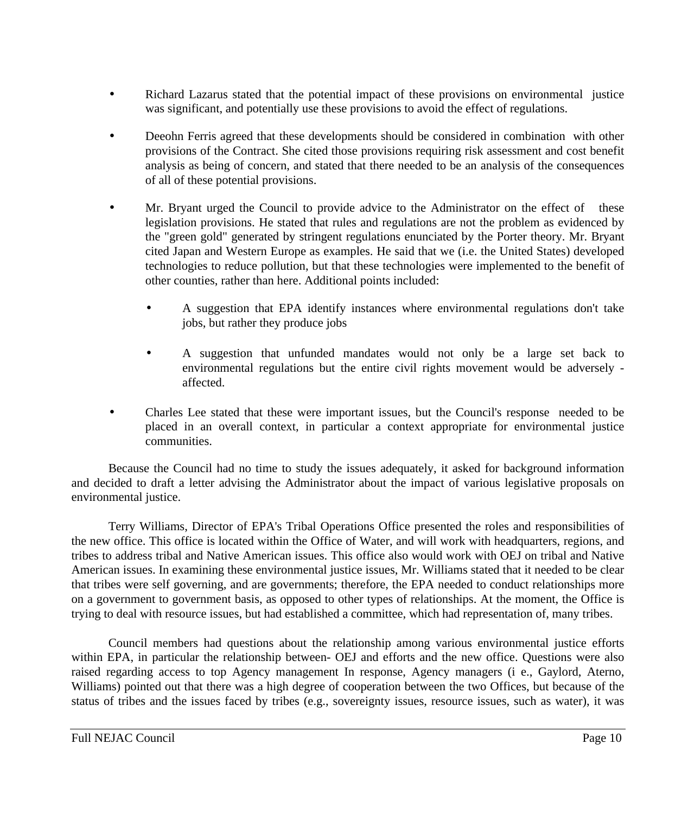- Richard Lazarus stated that the potential impact of these provisions on environmental justice was significant, and potentially use these provisions to avoid the effect of regulations.
- Deeohn Ferris agreed that these developments should be considered in combination with other provisions of the Contract. She cited those provisions requiring risk assessment and cost benefit analysis as being of concern, and stated that there needed to be an analysis of the consequences of all of these potential provisions.
- Mr. Bryant urged the Council to provide advice to the Administrator on the effect of these legislation provisions. He stated that rules and regulations are not the problem as evidenced by the "green gold" generated by stringent regulations enunciated by the Porter theory. Mr. Bryant cited Japan and Western Europe as examples. He said that we (i.e. the United States) developed technologies to reduce pollution, but that these technologies were implemented to the benefit of other counties, rather than here. Additional points included:
	- A suggestion that EPA identify instances where environmental regulations don't take jobs, but rather they produce jobs
	- A suggestion that unfunded mandates would not only be a large set back to environmental regulations but the entire civil rights movement would be adversely affected.
- Charles Lee stated that these were important issues, but the Council's response needed to be placed in an overall context, in particular a context appropriate for environmental justice communities.

Because the Council had no time to study the issues adequately, it asked for background information and decided to draft a letter advising the Administrator about the impact of various legislative proposals on environmental justice.

Terry Williams, Director of EPA's Tribal Operations Office presented the roles and responsibilities of the new office. This office is located within the Office of Water, and will work with headquarters, regions, and tribes to address tribal and Native American issues. This office also would work with OEJ on tribal and Native American issues. In examining these environmental justice issues, Mr. Williams stated that it needed to be clear that tribes were self governing, and are governments; therefore, the EPA needed to conduct relationships more on a government to government basis, as opposed to other types of relationships. At the moment, the Office is trying to deal with resource issues, but had established a committee, which had representation of, many tribes.

Council members had questions about the relationship among various environmental justice efforts within EPA, in particular the relationship between- OEJ and efforts and the new office. Questions were also raised regarding access to top Agency management In response, Agency managers (i e., Gaylord, Aterno, Williams) pointed out that there was a high degree of cooperation between the two Offices, but because of the status of tribes and the issues faced by tribes (e.g., sovereignty issues, resource issues, such as water), it was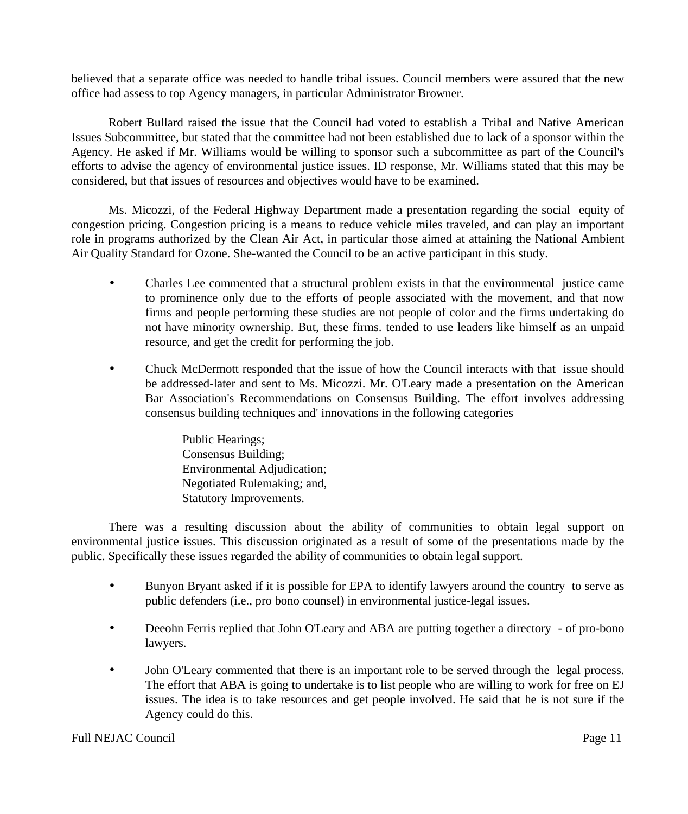believed that a separate office was needed to handle tribal issues. Council members were assured that the new office had assess to top Agency managers, in particular Administrator Browner.

Robert Bullard raised the issue that the Council had voted to establish a Tribal and Native American Issues Subcommittee, but stated that the committee had not been established due to lack of a sponsor within the Agency. He asked if Mr. Williams would be willing to sponsor such a subcommittee as part of the Council's efforts to advise the agency of environmental justice issues. ID response, Mr. Williams stated that this may be considered, but that issues of resources and objectives would have to be examined.

Ms. Micozzi, of the Federal Highway Department made a presentation regarding the social equity of congestion pricing. Congestion pricing is a means to reduce vehicle miles traveled, and can play an important role in programs authorized by the Clean Air Act, in particular those aimed at attaining the National Ambient Air Quality Standard for Ozone. She-wanted the Council to be an active participant in this study.

- Charles Lee commented that a structural problem exists in that the environmental justice came to prominence only due to the efforts of people associated with the movement, and that now firms and people performing these studies are not people of color and the firms undertaking do not have minority ownership. But, these firms. tended to use leaders like himself as an unpaid resource, and get the credit for performing the job.
- Chuck McDermott responded that the issue of how the Council interacts with that issue should be addressed-later and sent to Ms. Micozzi. Mr. O'Leary made a presentation on the American Bar Association's Recommendations on Consensus Building. The effort involves addressing consensus building techniques and' innovations in the following categories

Public Hearings; Consensus Building; Environmental Adjudication; Negotiated Rulemaking; and, Statutory Improvements.

There was a resulting discussion about the ability of communities to obtain legal support on environmental justice issues. This discussion originated as a result of some of the presentations made by the public. Specifically these issues regarded the ability of communities to obtain legal support.

- Bunyon Bryant asked if it is possible for EPA to identify lawyers around the country to serve as public defenders (i.e., pro bono counsel) in environmental justice-legal issues.
- Deeohn Ferris replied that John O'Leary and ABA are putting together a directory of pro-bono lawyers.
- John O'Leary commented that there is an important role to be served through the legal process. The effort that ABA is going to undertake is to list people who are willing to work for free on EJ issues. The idea is to take resources and get people involved. He said that he is not sure if the Agency could do this.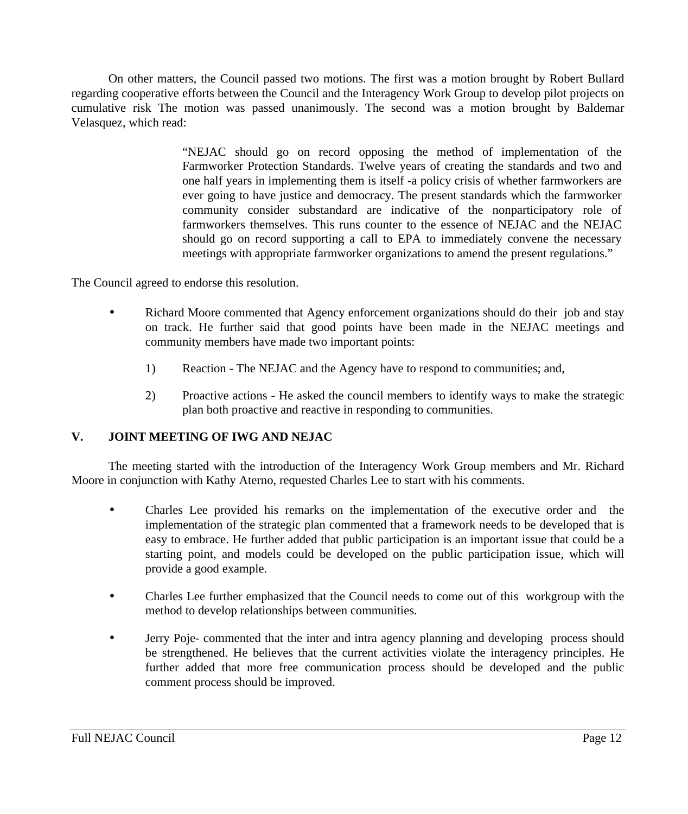On other matters, the Council passed two motions. The first was a motion brought by Robert Bullard regarding cooperative efforts between the Council and the Interagency Work Group to develop pilot projects on cumulative risk The motion was passed unanimously. The second was a motion brought by Baldemar Velasquez, which read:

> "NEJAC should go on record opposing the method of implementation of the Farmworker Protection Standards. Twelve years of creating the standards and two and one half years in implementing them is itself -a policy crisis of whether farmworkers are ever going to have justice and democracy. The present standards which the farmworker community consider substandard are indicative of the nonparticipatory role of farmworkers themselves. This runs counter to the essence of NEJAC and the NEJAC should go on record supporting a call to EPA to immediately convene the necessary meetings with appropriate farmworker organizations to amend the present regulations."

The Council agreed to endorse this resolution.

- Richard Moore commented that Agency enforcement organizations should do their job and stay on track. He further said that good points have been made in the NEJAC meetings and community members have made two important points:
	- 1) Reaction The NEJAC and the Agency have to respond to communities; and,
	- 2) Proactive actions He asked the council members to identify ways to make the strategic plan both proactive and reactive in responding to communities.

## **V. JOINT MEETING OF IWG AND NEJAC**

The meeting started with the introduction of the Interagency Work Group members and Mr. Richard Moore in conjunction with Kathy Aterno, requested Charles Lee to start with his comments.

- Charles Lee provided his remarks on the implementation of the executive order and the implementation of the strategic plan commented that a framework needs to be developed that is easy to embrace. He further added that public participation is an important issue that could be a starting point, and models could be developed on the public participation issue, which will provide a good example.
- Charles Lee further emphasized that the Council needs to come out of this workgroup with the method to develop relationships between communities.
- Jerry Poje- commented that the inter and intra agency planning and developing process should be strengthened. He believes that the current activities violate the interagency principles. He further added that more free communication process should be developed and the public comment process should be improved.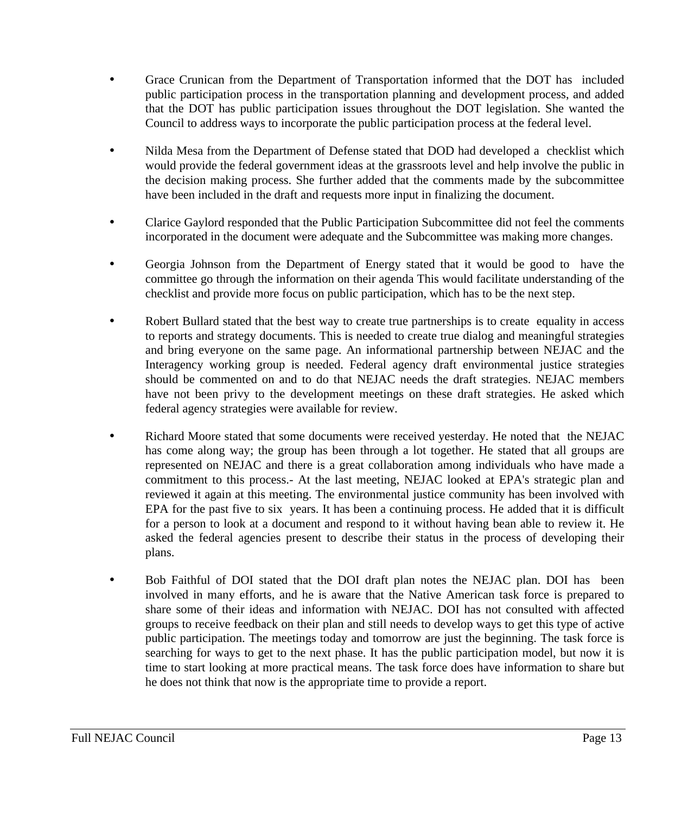- Grace Crunican from the Department of Transportation informed that the DOT has included public participation process in the transportation planning and development process, and added that the DOT has public participation issues throughout the DOT legislation. She wanted the Council to address ways to incorporate the public participation process at the federal level.
- Nilda Mesa from the Department of Defense stated that DOD had developed a checklist which would provide the federal government ideas at the grassroots level and help involve the public in the decision making process. She further added that the comments made by the subcommittee have been included in the draft and requests more input in finalizing the document.
- Clarice Gaylord responded that the Public Participation Subcommittee did not feel the comments incorporated in the document were adequate and the Subcommittee was making more changes.
- Georgia Johnson from the Department of Energy stated that it would be good to have the committee go through the information on their agenda This would facilitate understanding of the checklist and provide more focus on public participation, which has to be the next step.
- Robert Bullard stated that the best way to create true partnerships is to create equality in access to reports and strategy documents. This is needed to create true dialog and meaningful strategies and bring everyone on the same page. An informational partnership between NEJAC and the Interagency working group is needed. Federal agency draft environmental justice strategies should be commented on and to do that NEJAC needs the draft strategies. NEJAC members have not been privy to the development meetings on these draft strategies. He asked which federal agency strategies were available for review.
- Richard Moore stated that some documents were received yesterday. He noted that the NEJAC has come along way; the group has been through a lot together. He stated that all groups are represented on NEJAC and there is a great collaboration among individuals who have made a commitment to this process.- At the last meeting, NEJAC looked at EPA's strategic plan and reviewed it again at this meeting. The environmental justice community has been involved with EPA for the past five to six years. It has been a continuing process. He added that it is difficult for a person to look at a document and respond to it without having bean able to review it. He asked the federal agencies present to describe their status in the process of developing their plans.
- Bob Faithful of DOI stated that the DOI draft plan notes the NEJAC plan. DOI has been involved in many efforts, and he is aware that the Native American task force is prepared to share some of their ideas and information with NEJAC. DOI has not consulted with affected groups to receive feedback on their plan and still needs to develop ways to get this type of active public participation. The meetings today and tomorrow are just the beginning. The task force is searching for ways to get to the next phase. It has the public participation model, but now it is time to start looking at more practical means. The task force does have information to share but he does not think that now is the appropriate time to provide a report.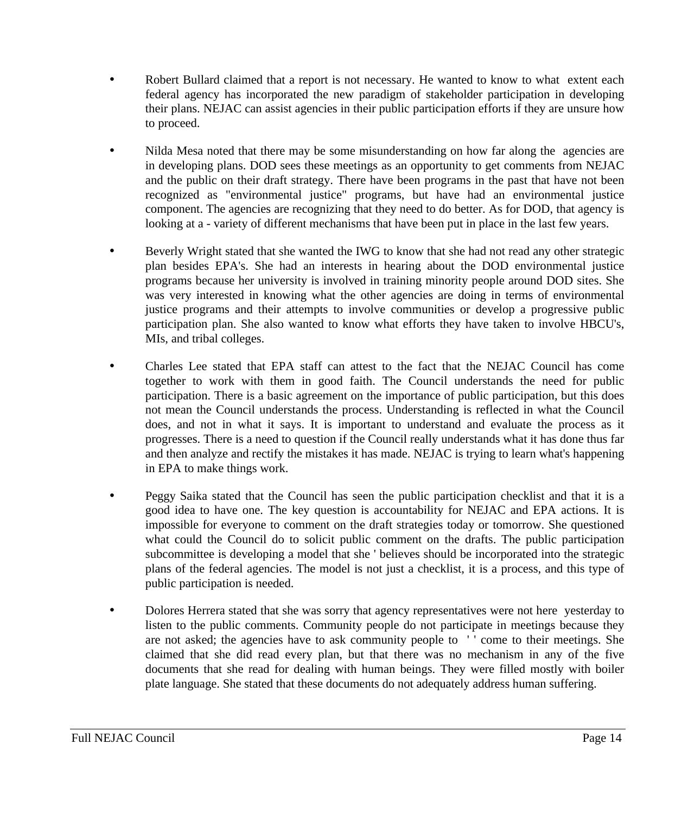- Robert Bullard claimed that a report is not necessary. He wanted to know to what extent each federal agency has incorporated the new paradigm of stakeholder participation in developing their plans. NEJAC can assist agencies in their public participation efforts if they are unsure how to proceed.
- Nilda Mesa noted that there may be some misunderstanding on how far along the agencies are in developing plans. DOD sees these meetings as an opportunity to get comments from NEJAC and the public on their draft strategy. There have been programs in the past that have not been recognized as "environmental justice" programs, but have had an environmental justice component. The agencies are recognizing that they need to do better. As for DOD, that agency is looking at a - variety of different mechanisms that have been put in place in the last few years.
- Beverly Wright stated that she wanted the IWG to know that she had not read any other strategic plan besides EPA's. She had an interests in hearing about the DOD environmental justice programs because her university is involved in training minority people around DOD sites. She was very interested in knowing what the other agencies are doing in terms of environmental justice programs and their attempts to involve communities or develop a progressive public participation plan. She also wanted to know what efforts they have taken to involve HBCU's, MIs, and tribal colleges.
- Charles Lee stated that EPA staff can attest to the fact that the NEJAC Council has come together to work with them in good faith. The Council understands the need for public participation. There is a basic agreement on the importance of public participation, but this does not mean the Council understands the process. Understanding is reflected in what the Council does, and not in what it says. It is important to understand and evaluate the process as it progresses. There is a need to question if the Council really understands what it has done thus far and then analyze and rectify the mistakes it has made. NEJAC is trying to learn what's happening in EPA to make things work.
- Peggy Saika stated that the Council has seen the public participation checklist and that it is a good idea to have one. The key question is accountability for NEJAC and EPA actions. It is impossible for everyone to comment on the draft strategies today or tomorrow. She questioned what could the Council do to solicit public comment on the drafts. The public participation subcommittee is developing a model that she ' believes should be incorporated into the strategic plans of the federal agencies. The model is not just a checklist, it is a process, and this type of public participation is needed.
- Dolores Herrera stated that she was sorry that agency representatives were not here yesterday to listen to the public comments. Community people do not participate in meetings because they are not asked; the agencies have to ask community people to ' ' come to their meetings. She claimed that she did read every plan, but that there was no mechanism in any of the five documents that she read for dealing with human beings. They were filled mostly with boiler plate language. She stated that these documents do not adequately address human suffering.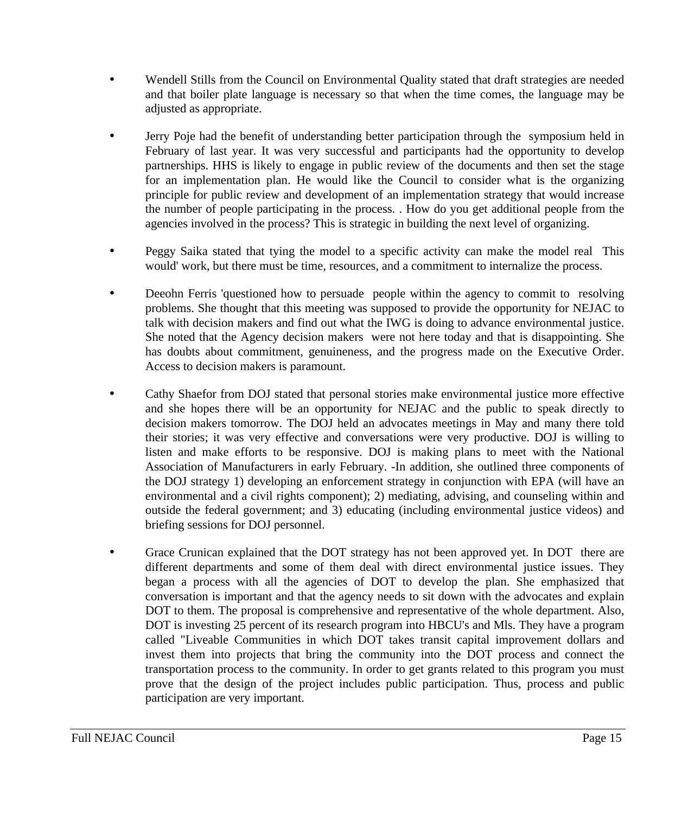- Wendell Stills from the Council on Environmental Quality stated that draft strategies are needed and that boiler plate language is necessary so that when the time comes, the language may be adjusted as appropriate.
- Jerry Poje had the benefit of understanding better participation through the symposium held in February of last year. It was very successful and participants had the opportunity to develop partnerships. HHS is likely to engage in public review of the documents and then set the stage for an implementation plan. He would like the Council to consider what is the organizing principle for public review and development of an implementation strategy that would increase the number of people participating in the process. . How do you get additional people from the agencies involved in the process? This is strategic in building the next level of organizing.
- Peggy Saika stated that tying the model to a specific activity can make the model real This would' work, but there must be time, resources, and a commitment to internalize the process.
- Deeohn Ferris 'questioned how to persuade people within the agency to commit to resolving problems. She thought that this meeting was supposed to provide the opportunity for NEJAC to talk with decision makers and find out what the IWG is doing to advance environmental justice. She noted that the Agency decision makers were not here today and that is disappointing. She has doubts about commitment, genuineness, and the progress made on the Executive Order. Access to decision makers is paramount.
- Cathy Shaefor from DOJ stated that personal stories make environmental justice more effective and she hopes there will be an opportunity for NEJAC and the public to speak directly to decision makers tomorrow. The DOJ held an advocates meetings in May and many there told their stories; it was very effective and conversations were very productive. DOJ is willing to listen and make efforts to be responsive. DOJ is making plans to meet with the National Association of Manufacturers in early February. -In addition, she outlined three components of the DOJ strategy 1) developing an enforcement strategy in conjunction with EPA (will have an environmental and a civil rights component); 2) mediating, advising, and counseling within and outside the federal government; and 3) educating (including environmental justice videos) and briefing sessions for DOJ personnel.
- Grace Crunican explained that the DOT strategy has not been approved yet. In DOT there are different departments and some of them deal with direct environmental justice issues. They began a process with all the agencies of DOT to develop the plan. She emphasized that conversation is important and that the agency needs to sit down with the advocates and explain DOT to them. The proposal is comprehensive and representative of the whole department. Also, DOT is investing 25 percent of its research program into HBCU's and Mls. They have a program called "Liveable Communities in which DOT takes transit capital improvement dollars and invest them into projects that bring the community into the DOT process and connect the transportation process to the community. In order to get grants related to this program you must prove that the design of the project includes public participation. Thus, process and public participation are very important.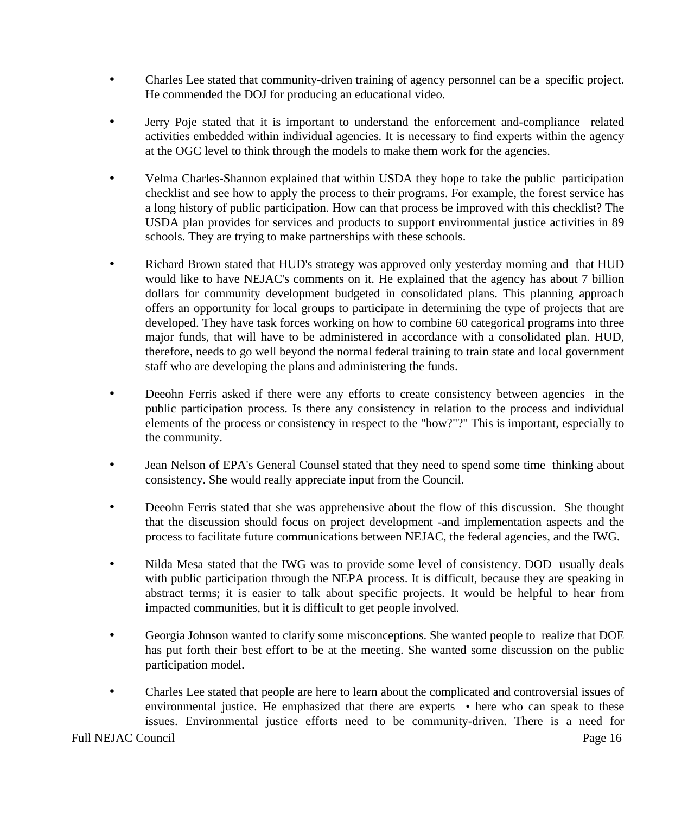- Charles Lee stated that community-driven training of agency personnel can be a specific project. He commended the DOJ for producing an educational video.
- Jerry Poje stated that it is important to understand the enforcement and-compliance related activities embedded within individual agencies. It is necessary to find experts within the agency at the OGC level to think through the models to make them work for the agencies.
- Velma Charles-Shannon explained that within USDA they hope to take the public participation checklist and see how to apply the process to their programs. For example, the forest service has a long history of public participation. How can that process be improved with this checklist? The USDA plan provides for services and products to support environmental justice activities in 89 schools. They are trying to make partnerships with these schools.
- Richard Brown stated that HUD's strategy was approved only yesterday morning and that HUD would like to have NEJAC's comments on it. He explained that the agency has about 7 billion dollars for community development budgeted in consolidated plans. This planning approach offers an opportunity for local groups to participate in determining the type of projects that are developed. They have task forces working on how to combine 60 categorical programs into three major funds, that will have to be administered in accordance with a consolidated plan. HUD, therefore, needs to go well beyond the normal federal training to train state and local government staff who are developing the plans and administering the funds.
- Deeohn Ferris asked if there were any efforts to create consistency between agencies in the public participation process. Is there any consistency in relation to the process and individual elements of the process or consistency in respect to the "how?"?" This is important, especially to the community.
- Jean Nelson of EPA's General Counsel stated that they need to spend some time thinking about consistency. She would really appreciate input from the Council.
- Deeohn Ferris stated that she was apprehensive about the flow of this discussion. She thought that the discussion should focus on project development -and implementation aspects and the process to facilitate future communications between NEJAC, the federal agencies, and the IWG.
- Nilda Mesa stated that the IWG was to provide some level of consistency. DOD usually deals with public participation through the NEPA process. It is difficult, because they are speaking in abstract terms; it is easier to talk about specific projects. It would be helpful to hear from impacted communities, but it is difficult to get people involved.
- Georgia Johnson wanted to clarify some misconceptions. She wanted people to realize that DOE has put forth their best effort to be at the meeting. She wanted some discussion on the public participation model.
- Charles Lee stated that people are here to learn about the complicated and controversial issues of environmental justice. He emphasized that there are experts • here who can speak to these issues. Environmental justice efforts need to be community-driven. There is a need for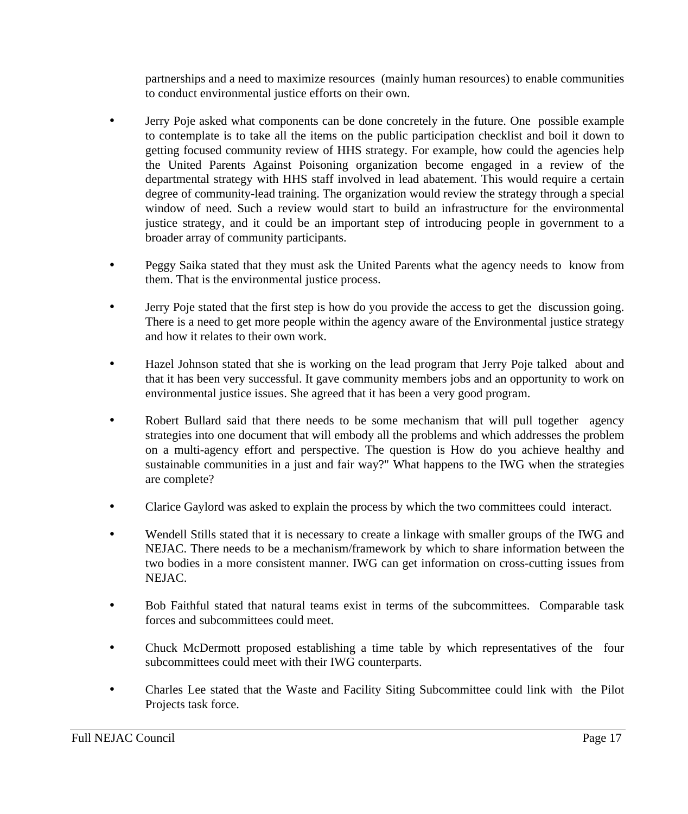partnerships and a need to maximize resources (mainly human resources) to enable communities to conduct environmental justice efforts on their own.

- Jerry Poje asked what components can be done concretely in the future. One possible example to contemplate is to take all the items on the public participation checklist and boil it down to getting focused community review of HHS strategy. For example, how could the agencies help the United Parents Against Poisoning organization become engaged in a review of the departmental strategy with HHS staff involved in lead abatement. This would require a certain degree of community-lead training. The organization would review the strategy through a special window of need. Such a review would start to build an infrastructure for the environmental justice strategy, and it could be an important step of introducing people in government to a broader array of community participants.
- Peggy Saika stated that they must ask the United Parents what the agency needs to know from them. That is the environmental justice process.
- Jerry Poje stated that the first step is how do you provide the access to get the discussion going. There is a need to get more people within the agency aware of the Environmental justice strategy and how it relates to their own work.
- Hazel Johnson stated that she is working on the lead program that Jerry Poje talked about and that it has been very successful. It gave community members jobs and an opportunity to work on environmental justice issues. She agreed that it has been a very good program.
- Robert Bullard said that there needs to be some mechanism that will pull together agency strategies into one document that will embody all the problems and which addresses the problem on a multi-agency effort and perspective. The question is How do you achieve healthy and sustainable communities in a just and fair way?" What happens to the IWG when the strategies are complete?
- Clarice Gaylord was asked to explain the process by which the two committees could interact.
- Wendell Stills stated that it is necessary to create a linkage with smaller groups of the IWG and NEJAC. There needs to be a mechanism/framework by which to share information between the two bodies in a more consistent manner. IWG can get information on cross-cutting issues from NEJAC.
- Bob Faithful stated that natural teams exist in terms of the subcommittees. Comparable task forces and subcommittees could meet.
- Chuck McDermott proposed establishing a time table by which representatives of the four subcommittees could meet with their IWG counterparts.
- Charles Lee stated that the Waste and Facility Siting Subcommittee could link with the Pilot Projects task force.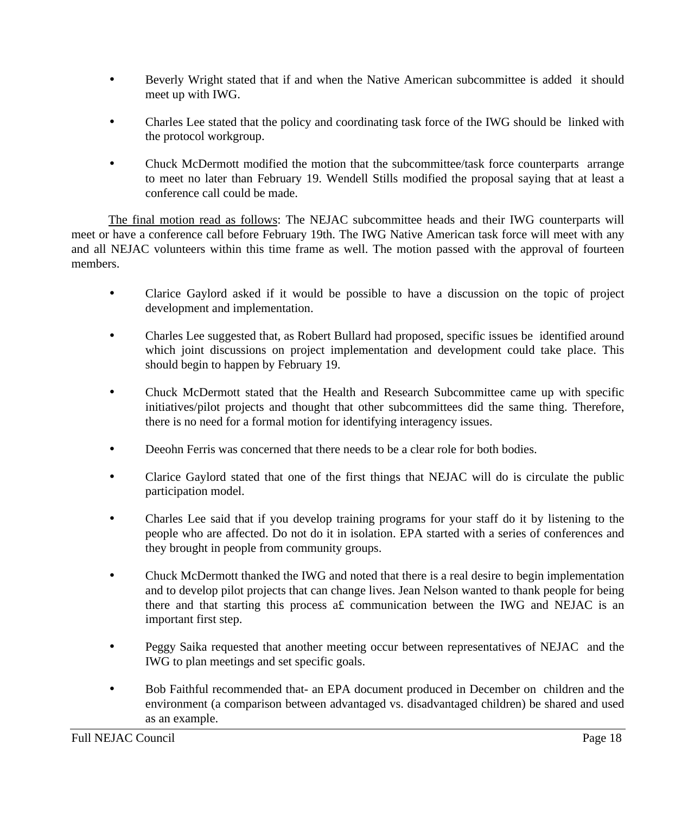- Beverly Wright stated that if and when the Native American subcommittee is added it should meet up with IWG.
- Charles Lee stated that the policy and coordinating task force of the IWG should be linked with the protocol workgroup.
- Chuck McDermott modified the motion that the subcommittee/task force counterparts arrange to meet no later than February 19. Wendell Stills modified the proposal saying that at least a conference call could be made.

The final motion read as follows: The NEJAC subcommittee heads and their IWG counterparts will meet or have a conference call before February 19th. The IWG Native American task force will meet with any and all NEJAC volunteers within this time frame as well. The motion passed with the approval of fourteen members.

- Clarice Gaylord asked if it would be possible to have a discussion on the topic of project development and implementation.
- Charles Lee suggested that, as Robert Bullard had proposed, specific issues be identified around which joint discussions on project implementation and development could take place. This should begin to happen by February 19.
- Chuck McDermott stated that the Health and Research Subcommittee came up with specific initiatives/pilot projects and thought that other subcommittees did the same thing. Therefore, there is no need for a formal motion for identifying interagency issues.
- Deeohn Ferris was concerned that there needs to be a clear role for both bodies.
- Clarice Gaylord stated that one of the first things that NEJAC will do is circulate the public participation model.
- Charles Lee said that if you develop training programs for your staff do it by listening to the people who are affected. Do not do it in isolation. EPA started with a series of conferences and they brought in people from community groups.
- Chuck McDermott thanked the IWG and noted that there is a real desire to begin implementation and to develop pilot projects that can change lives. Jean Nelson wanted to thank people for being there and that starting this process a£ communication between the IWG and NEJAC is an important first step.
- Peggy Saika requested that another meeting occur between representatives of NEJAC and the IWG to plan meetings and set specific goals.
- Bob Faithful recommended that- an EPA document produced in December on children and the environment (a comparison between advantaged vs. disadvantaged children) be shared and used as an example.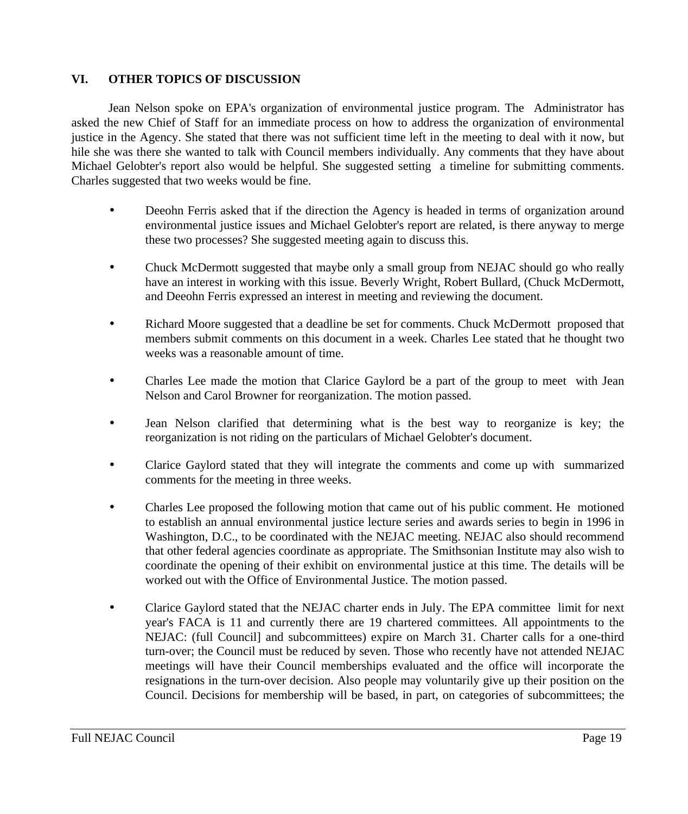# **VI. OTHER TOPICS OF DISCUSSION**

Jean Nelson spoke on EPA's organization of environmental justice program. The Administrator has asked the new Chief of Staff for an immediate process on how to address the organization of environmental justice in the Agency. She stated that there was not sufficient time left in the meeting to deal with it now, but hile she was there she wanted to talk with Council members individually. Any comments that they have about Michael Gelobter's report also would be helpful. She suggested setting a timeline for submitting comments. Charles suggested that two weeks would be fine.

- Deeohn Ferris asked that if the direction the Agency is headed in terms of organization around environmental justice issues and Michael Gelobter's report are related, is there anyway to merge these two processes? She suggested meeting again to discuss this.
- Chuck McDermott suggested that maybe only a small group from NEJAC should go who really have an interest in working with this issue. Beverly Wright, Robert Bullard, (Chuck McDermott, and Deeohn Ferris expressed an interest in meeting and reviewing the document.
- Richard Moore suggested that a deadline be set for comments. Chuck McDermott proposed that members submit comments on this document in a week. Charles Lee stated that he thought two weeks was a reasonable amount of time.
- Charles Lee made the motion that Clarice Gaylord be a part of the group to meet with Jean Nelson and Carol Browner for reorganization. The motion passed.
- Jean Nelson clarified that determining what is the best way to reorganize is key; the reorganization is not riding on the particulars of Michael Gelobter's document.
- Clarice Gaylord stated that they will integrate the comments and come up with summarized comments for the meeting in three weeks.
- Charles Lee proposed the following motion that came out of his public comment. He motioned to establish an annual environmental justice lecture series and awards series to begin in 1996 in Washington, D.C., to be coordinated with the NEJAC meeting. NEJAC also should recommend that other federal agencies coordinate as appropriate. The Smithsonian Institute may also wish to coordinate the opening of their exhibit on environmental justice at this time. The details will be worked out with the Office of Environmental Justice. The motion passed.
- Clarice Gaylord stated that the NEJAC charter ends in July. The EPA committee limit for next year's FACA is 11 and currently there are 19 chartered committees. All appointments to the NEJAC: (full Council] and subcommittees) expire on March 31. Charter calls for a one-third turn-over; the Council must be reduced by seven. Those who recently have not attended NEJAC meetings will have their Council memberships evaluated and the office will incorporate the resignations in the turn-over decision. Also people may voluntarily give up their position on the Council. Decisions for membership will be based, in part, on categories of subcommittees; the